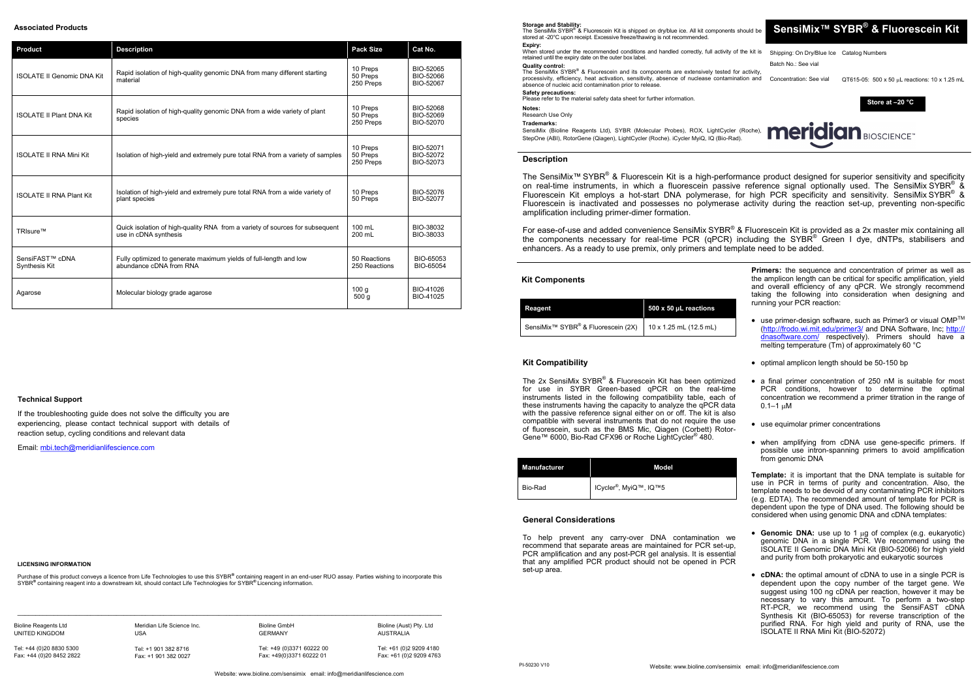# **SensiMix™ SYBR ® & Fluorescein Kit**

Batch No.: See vial

Concentration: See vial  $QT615-05$ : 500 x 50 uL reactions: 10 x 1.25 mL

**Storage and Stability:**<br>The SensiMix SYBR® & Fluorescein Kit is shipped on dry/blue ice. All kit components should be stored at -20°C upon receipt. Excessive freeze/thawing is not recommended. **Expiry:**

When stored under the recommended conditions and handled correctly, full activity of the kit is Shipping: On Dry/Blue Ice Catalog Numbers retained until the expiry date on the outer box label.

The SensiMix SYBR<sup>®</sup> & Fluorescein and its components are extensively tested for activity processivity, efficiency, heat activation, sensitivity, absence of nuclease contamination and absence of nucleic acid contamination prior to release. **Safety precautions:** 

## **Quality control:**

The 2x SensiMix SYBR® & Fluorescein Kit has been optimized for use in SYBR Green-based qPCR on the real-time instruments listed in the following compatibility table, each of these instruments having the capacity to analyze the qPCR data with the passive reference signal either on or off. The kit is also compatible with several instruments that do not require the use of fluorescein, such as the BMS Mic, Qiagen (Corbett) Rotor-Gene™ 6000, Bio-Rad CFX96 or Roche LightCycler<sup>®</sup> 480.

Please refer to the material safety data sheet for further information.

#### **Notes:**

Research Use Only

**Trademarks:**

SensiMix (Bioline Reagents Ltd), SYBR (Molecular Probes), ROX, LightCycler (Roche), StepOne (ABI), RotorGene (Qiagen), LightCycler (Roche). iCycler MyiQ, IQ (Bio-Rad).

**Kit Components**

**Store at –20 °C**



| Reagent                                                    | 500 x 50 µL reactions  |  |
|------------------------------------------------------------|------------------------|--|
| SensiMix <sup>™</sup> SYBR <sup>®</sup> & Fluorescein (2X) | 10 x 1.25 mL (12.5 mL) |  |

For ease-of-use and added convenience SensiMix SYBR<sup>®</sup> & Fluorescein Kit is provided as a 2x master mix containing all the components necessary for real-time PCR (qPCR) including the SYBR® Green I dye, dNTPs, stabilisers and enhancers. As a ready to use premix, only primers and template need to be added.

> **Primers:** the sequence and concentration of primer as well as the amplicon length can be critical for specific amplification, yield and overall efficiency of any qPCR. We strongly recommend taking the following into consideration when designing and running your PCR reaction:

| <b>Manufacturer</b> | Model                              |
|---------------------|------------------------------------|
| Bio-Rad             | ICycler <sup>®</sup> , MyiQ™, IQ™5 |

# **Description**

- use primer-design software, such as Primer3 or visual OMP<sup>TM</sup> [\(http://frodo.wi.mit.edu/primer3/](http://frodo.wi.mit.edu/primer3/) and DNA Software, Inc; [http://](http://dnasoftware.com/) [dnasoftware.com/](http://dnasoftware.com/) respectively). Primers should have a melting temperature (Tm) of approximately 60 °C
- optimal amplicon length should be 50-150 bp
- a final primer concentration of 250 nM is suitable for most PCR conditions, however to determine the optimal concentration we recommend a primer titration in the range of  $0.1 - 1$  uM
- use equimolar primer concentrations
- when amplifying from cDNA use gene-specific primers. If possible use intron-spanning primers to avoid amplification from genomic DNA

The SensiMix™ SYBR® & Fluorescein Kit is a high-performance product designed for superior sensitivity and specificity on real-time instruments, in which a fluorescein passive reference signal optionally used. The SensiMix SYBR®  $\rm \AA$ Fluorescein Kit employs a hot-start DNA polymerase, for high PCR specificity and sensitivity. SensiMix SYBR<sup>®</sup> & Fluorescein is inactivated and possesses no polymerase activity during the reaction set-up, preventing non-specific amplification including primer-dimer formation.

- Genomic DNA: use up to 1 ug of complex (e.g. eukaryotic) genomic DNA in a single PCR. We recommend using the ISOLATE II Genomic DNA Mini Kit (BIO-52066) for high yield and purity from both prokaryotic and eukaryotic sources
- **cDNA:** the optimal amount of cDNA to use in a single PCR is dependent upon the copy number of the target gene. We suggest using 100 ng cDNA per reaction, however it may be necessary to vary this amount. To perform a two-step RT-PCR, we recommend using the SensiFAST cDNA Synthesis Kit (BIO-65053) for reverse transcription of the purified RNA. For high yield and purity of RNA, use the ISOLATE II RNA Mini Kit (BIO-52072)

# **Kit Compatibility**

### **General Considerations**

To help prevent any carry-over DNA contamination we recommend that separate areas are maintained for PCR set-up, PCR amplification and any post-PCR gel analysis. It is essential that any amplified PCR product should not be opened in PCR set-up area.

**Template:** it is important that the DNA template is suitable for use in PCR in terms of purity and concentration. Also, the template needs to be devoid of any contaminating PCR inhibitors (e.g. EDTA). The recommended amount of template for PCR is dependent upon the type of DNA used. The following should be considered when using genomic DNA and cDNA templates:

PI-50230 V10

# **Associated Products**

#### **LICENSING INFORMATION**

Purchase of this product conveys a licence from Life Technologies to use this SYBR® containing reagent in an end-user RUO assay. Parties wishing to incorporate this<br>SYBR® containing reagent into a downstream kit, should co

 $\mathcal{L} = \{ \mathcal{L} = \{ \mathcal{L} = \{ \mathcal{L} = \{ \mathcal{L} = \{ \mathcal{L} = \{ \mathcal{L} = \{ \mathcal{L} = \{ \mathcal{L} = \{ \mathcal{L} = \{ \mathcal{L} = \{ \mathcal{L} = \{ \mathcal{L} = \{ \mathcal{L} = \{ \mathcal{L} = \{ \mathcal{L} = \{ \mathcal{L} = \{ \mathcal{L} = \{ \mathcal{L} = \{ \mathcal{L} = \{ \mathcal{L} = \{ \mathcal{L} = \{ \mathcal{L} = \{ \mathcal{L} = \{ \mathcal{$ 

| <b>Product</b>                    | <b>Description</b>                                                                                    | <b>Pack Size</b>                  | Cat No.                             |
|-----------------------------------|-------------------------------------------------------------------------------------------------------|-----------------------------------|-------------------------------------|
| <b>ISOLATE II Genomic DNA Kit</b> | Rapid isolation of high-quality genomic DNA from many different starting<br>material                  | 10 Preps<br>50 Preps<br>250 Preps | BIO-52065<br>BIO-52066<br>BIO-52067 |
| <b>ISOLATE II Plant DNA Kit</b>   | Rapid isolation of high-quality genomic DNA from a wide variety of plant<br>species                   | 10 Preps<br>50 Preps<br>250 Preps | BIO-52068<br>BIO-52069<br>BIO-52070 |
| <b>ISOLATE II RNA Mini Kit</b>    | Isolation of high-yield and extremely pure total RNA from a variety of samples                        |                                   | BIO-52071<br>BIO-52072<br>BIO-52073 |
| <b>ISOLATE II RNA Plant Kit</b>   | Isolation of high-yield and extremely pure total RNA from a wide variety of<br>plant species          |                                   | BIO-52076<br>BIO-52077              |
| TRIsure™                          | Quick isolation of high-quality RNA from a variety of sources for subsequent<br>use in cDNA synthesis |                                   | BIO-38032<br>BIO-38033              |
| SensiFAST™ cDNA<br>Synthesis Kit  | Fully optimized to generate maximum yields of full-length and low<br>abundance cDNA from RNA          | 50 Reactions<br>250 Reactions     | BIO-65053<br>BIO-65054              |
| Agarose                           | Molecular biology grade agarose                                                                       | 100q<br>500q                      | BIO-41026<br>BIO-41025              |

| <b>Bioline Reagents Ltd</b> |
|-----------------------------|
| UNITED KINGDOM              |

Tel: +44 (0)20 8830 5300 Fax: +44 (0)20 8452 2822 Meridian Life Science Inc. USA

> Tel: +1 901 382 8716 Fax: +1 901 382 0027

Bioline GmbH GERMANY

Tel: +49 (0)3371 60222 00 Fax: +49(0)3371 60222 01

Bioline (Aust) Pty. Ltd AUSTRALIA Tel: +61 (0)2 9209 4180 Fax: +61 (0)2 9209 4763

### **Technical Support**

If the troubleshooting guide does not solve the difficulty you are experiencing, please contact technical support with details of reaction setup, cycling conditions and relevant data

Email: [mbi.tech@me](mailto:tech@bioline.com)ridianlifescience.com